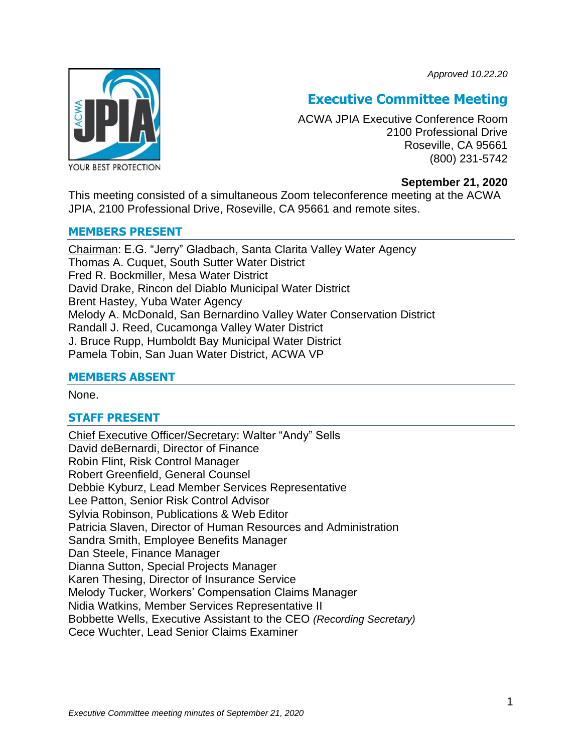*Approved 10.22.20*



# **Executive Committee Meeting**

ACWA JPIA Executive Conference Room 2100 Professional Drive Roseville, CA 95661 (800) 231-5742

#### **September 21, 2020**

This meeting consisted of a simultaneous Zoom teleconference meeting at the ACWA JPIA, 2100 Professional Drive, Roseville, CA 95661 and remote sites.

#### **MEMBERS PRESENT**

Chairman: E.G. "Jerry" Gladbach, Santa Clarita Valley Water Agency Thomas A. Cuquet, South Sutter Water District Fred R. Bockmiller, Mesa Water District David Drake, Rincon del Diablo Municipal Water District Brent Hastey, Yuba Water Agency Melody A. McDonald, San Bernardino Valley Water Conservation District Randall J. Reed, Cucamonga Valley Water District J. Bruce Rupp, Humboldt Bay Municipal Water District Pamela Tobin, San Juan Water District, ACWA VP

#### **MEMBERS ABSENT**

None.

#### **STAFF PRESENT**

Chief Executive Officer/Secretary: Walter "Andy" Sells David deBernardi, Director of Finance Robin Flint, Risk Control Manager Robert Greenfield, General Counsel Debbie Kyburz, Lead Member Services Representative Lee Patton, Senior Risk Control Advisor Sylvia Robinson, Publications & Web Editor Patricia Slaven, Director of Human Resources and Administration Sandra Smith, Employee Benefits Manager Dan Steele, Finance Manager Dianna Sutton, Special Projects Manager Karen Thesing, Director of Insurance Service Melody Tucker, Workers' Compensation Claims Manager Nidia Watkins, Member Services Representative II Bobbette Wells, Executive Assistant to the CEO *(Recording Secretary)* Cece Wuchter, Lead Senior Claims Examiner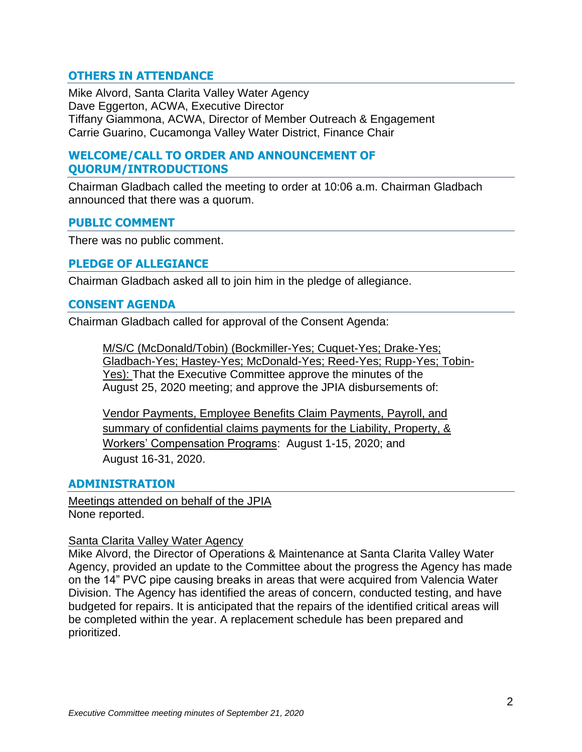## **OTHERS IN ATTENDANCE**

Mike Alvord, Santa Clarita Valley Water Agency Dave Eggerton, ACWA, Executive Director Tiffany Giammona, ACWA, Director of Member Outreach & Engagement Carrie Guarino, Cucamonga Valley Water District, Finance Chair

### **WELCOME/CALL TO ORDER AND ANNOUNCEMENT OF QUORUM/INTRODUCTIONS**

Chairman Gladbach called the meeting to order at 10:06 a.m. Chairman Gladbach announced that there was a quorum.

#### **PUBLIC COMMENT**

There was no public comment.

#### **PLEDGE OF ALLEGIANCE**

Chairman Gladbach asked all to join him in the pledge of allegiance.

#### **CONSENT AGENDA**

Chairman Gladbach called for approval of the Consent Agenda:

M/S/C (McDonald/Tobin) (Bockmiller-Yes; Cuquet-Yes; Drake-Yes; Gladbach-Yes; Hastey-Yes; McDonald-Yes; Reed-Yes; Rupp-Yes; Tobin-Yes): That the Executive Committee approve the minutes of the August 25, 2020 meeting; and approve the JPIA disbursements of:

Vendor Payments, Employee Benefits Claim Payments, Payroll, and summary of confidential claims payments for the Liability, Property, & Workers' Compensation Programs: August 1-15, 2020; and August 16-31, 2020.

#### **ADMINISTRATION**

Meetings attended on behalf of the JPIA None reported.

#### Santa Clarita Valley Water Agency

Mike Alvord, the Director of Operations & Maintenance at Santa Clarita Valley Water Agency, provided an update to the Committee about the progress the Agency has made on the 14" PVC pipe causing breaks in areas that were acquired from Valencia Water Division. The Agency has identified the areas of concern, conducted testing, and have budgeted for repairs. It is anticipated that the repairs of the identified critical areas will be completed within the year. A replacement schedule has been prepared and prioritized.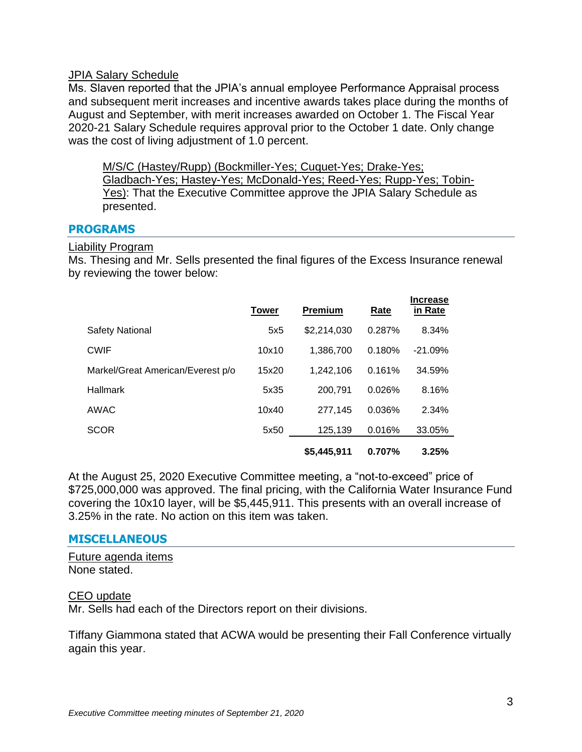#### JPIA Salary Schedule

Ms. Slaven reported that the JPIA's annual employee Performance Appraisal process and subsequent merit increases and incentive awards takes place during the months of August and September, with merit increases awarded on October 1. The Fiscal Year 2020-21 Salary Schedule requires approval prior to the October 1 date. Only change was the cost of living adjustment of 1.0 percent.

M/S/C (Hastey/Rupp) (Bockmiller-Yes; Cuquet-Yes; Drake-Yes; Gladbach-Yes; Hastey-Yes; McDonald-Yes; Reed-Yes; Rupp-Yes; Tobin-Yes): That the Executive Committee approve the JPIA Salary Schedule as presented.

#### **PROGRAMS**

#### Liability Program

Ms. Thesing and Mr. Sells presented the final figures of the Excess Insurance renewal by reviewing the tower below:

|                                   | <b>Tower</b> | <b>Premium</b> | Rate   | <b>Increase</b><br>in Rate |
|-----------------------------------|--------------|----------------|--------|----------------------------|
| <b>Safety National</b>            | 5x5          | \$2,214,030    | 0.287% | 8.34%                      |
| <b>CWIF</b>                       | 10x10        | 1.386.700      | 0.180% | $-21.09%$                  |
| Markel/Great American/Everest p/o | 15x20        | 1.242.106      | 0.161% | 34.59%                     |
| Hallmark                          | 5x35         | 200,791        | 0.026% | 8.16%                      |
| AWAC                              | 10x40        | 277.145        | 0.036% | 2.34%                      |
| <b>SCOR</b>                       | 5x50         | 125,139        | 0.016% | 33.05%                     |
|                                   |              | \$5,445,911    | 0.707% | 3.25%                      |

At the August 25, 2020 Executive Committee meeting, a "not-to-exceed" price of \$725,000,000 was approved. The final pricing, with the California Water Insurance Fund covering the 10x10 layer, will be \$5,445,911. This presents with an overall increase of 3.25% in the rate. No action on this item was taken.

#### **MISCELLANEOUS**

Future agenda items None stated.

#### CEO update

Mr. Sells had each of the Directors report on their divisions.

Tiffany Giammona stated that ACWA would be presenting their Fall Conference virtually again this year.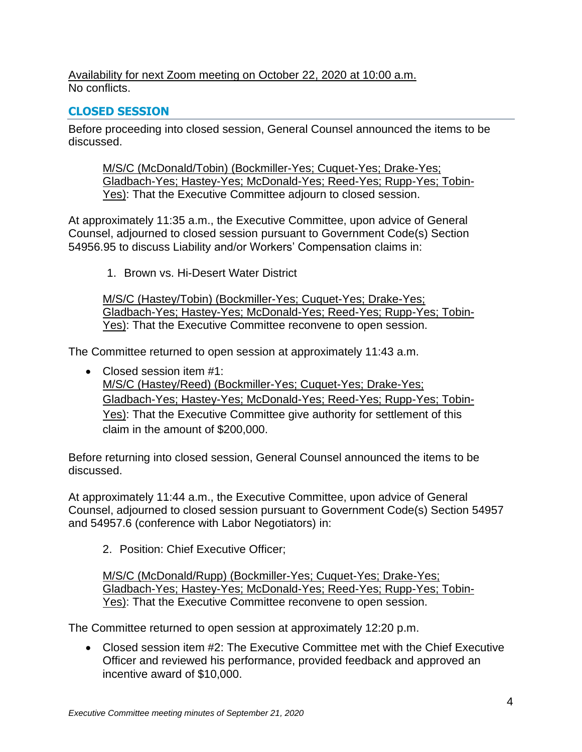Availability for next Zoom meeting on October 22, 2020 at 10:00 a.m. No conflicts.

# **CLOSED SESSION**

Before proceeding into closed session, General Counsel announced the items to be discussed.

M/S/C (McDonald/Tobin) (Bockmiller-Yes; Cuquet-Yes; Drake-Yes; Gladbach-Yes; Hastey-Yes; McDonald-Yes; Reed-Yes; Rupp-Yes; Tobin-Yes): That the Executive Committee adjourn to closed session.

At approximately 11:35 a.m., the Executive Committee, upon advice of General Counsel, adjourned to closed session pursuant to Government Code(s) Section 54956.95 to discuss Liability and/or Workers' Compensation claims in:

1. Brown vs. Hi-Desert Water District

M/S/C (Hastey/Tobin) (Bockmiller-Yes; Cuquet-Yes; Drake-Yes; Gladbach-Yes; Hastey-Yes; McDonald-Yes; Reed-Yes; Rupp-Yes; Tobin-Yes): That the Executive Committee reconvene to open session.

The Committee returned to open session at approximately 11:43 a.m.

• Closed session item #1: M/S/C (Hastey/Reed) (Bockmiller-Yes; Cuquet-Yes; Drake-Yes; Gladbach-Yes; Hastey-Yes; McDonald-Yes; Reed-Yes; Rupp-Yes; Tobin-Yes): That the Executive Committee give authority for settlement of this claim in the amount of \$200,000.

Before returning into closed session, General Counsel announced the items to be discussed.

At approximately 11:44 a.m., the Executive Committee, upon advice of General Counsel, adjourned to closed session pursuant to Government Code(s) Section 54957 and 54957.6 (conference with Labor Negotiators) in:

2. Position: Chief Executive Officer;

M/S/C (McDonald/Rupp) (Bockmiller-Yes; Cuquet-Yes; Drake-Yes; Gladbach-Yes; Hastey-Yes; McDonald-Yes; Reed-Yes; Rupp-Yes; Tobin-Yes): That the Executive Committee reconvene to open session.

The Committee returned to open session at approximately 12:20 p.m.

• Closed session item #2: The Executive Committee met with the Chief Executive Officer and reviewed his performance, provided feedback and approved an incentive award of \$10,000.